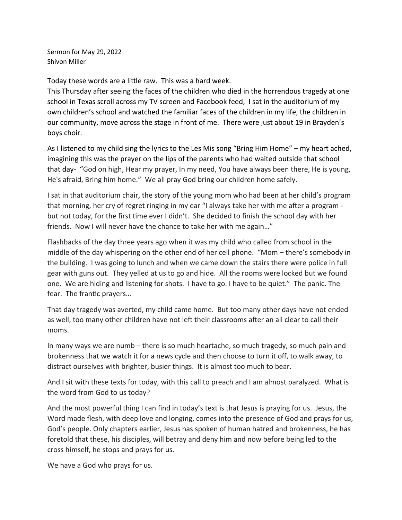Sermon for May 29, 2022 Shivon Miller

Today these words are a little raw. This was a hard week.

This Thursday after seeing the faces of the children who died in the horrendous tragedy at one school in Texas scroll across my TV screen and Facebook feed, I sat in the auditorium of my own children's school and watched the familiar faces of the children in my life, the children in our community, move across the stage in front of me. There were just about 19 in Brayden's boys choir.

As I listened to my child sing the lyrics to the Les Mis song "Bring Him Home" – my heart ached, imagining this was the prayer on the lips of the parents who had waited outside that school that day- "God on high, Hear my prayer, In my need, You have always been there, He is young, He's afraid, Bring him home." We all pray God bring our children home safely.

I sat in that auditorium chair, the story of the young mom who had been at her child's program that morning, her cry of regret ringing in my ear "I always take her with me after a program but not today, for the first time ever I didn't. She decided to finish the school day with her friends. Now I will never have the chance to take her with me again…"

Flashbacks of the day three years ago when it was my child who called from school in the middle of the day whispering on the other end of her cell phone. "Mom – there's somebody in the building. I was going to lunch and when we came down the stairs there were police in full gear with guns out. They yelled at us to go and hide. All the rooms were locked but we found one. We are hiding and listening for shots. I have to go. I have to be quiet." The panic. The fear. The frantic prayers…

That day tragedy was averted, my child came home. But too many other days have not ended as well, too many other children have not left their classrooms after an all clear to call their moms.

In many ways we are numb – there is so much heartache, so much tragedy, so much pain and brokenness that we watch it for a news cycle and then choose to turn it off, to walk away, to distract ourselves with brighter, busier things. It is almost too much to bear.

And I sit with these texts for today, with this call to preach and I am almost paralyzed. What is the word from God to us today?

And the most powerful thing I can find in today's text is that Jesus is praying for us. Jesus, the Word made flesh, with deep love and longing, comes into the presence of God and prays for us, God's people. Only chapters earlier, Jesus has spoken of human hatred and brokenness, he has foretold that these, his disciples, will betray and deny him and now before being led to the cross himself, he stops and prays for us.

We have a God who prays for us.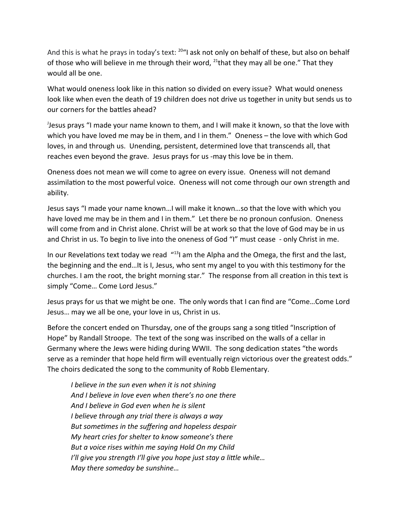And this is what he prays in today's text: <sup>20</sup>"I ask not only on behalf of these, but also on behalf of those who will believe in me through their word,  $^{21}$ that they may all be one." That they would all be one.

What would oneness look like in this nation so divided on every issue? What would oneness look like when even the death of 19 children does not drive us together in unity but sends us to our corners for the battles ahead?

J Jesus prays "I made your name known to them, and I will make it known, so that the love with which you have loved me may be in them, and I in them." Oneness – the love with which God loves, in and through us. Unending, persistent, determined love that transcends all, that reaches even beyond the grave. Jesus prays for us -may this love be in them.

Oneness does not mean we will come to agree on every issue. Oneness will not demand assimilation to the most powerful voice. Oneness will not come through our own strength and ability.

Jesus says "I made your name known…I will make it known…so that the love with which you have loved me may be in them and I in them." Let there be no pronoun confusion. Oneness will come from and in Christ alone. Christ will be at work so that the love of God may be in us and Christ in us. To begin to live into the oneness of God "I" must cease - only Christ in me.

In our Revelations text today we read  $^{413}$  am the Alpha and the Omega, the first and the last, the beginning and the end…It is I, Jesus, who sent my angel to you with this testimony for the churches. I am the root, the bright morning star." The response from all creation in this text is simply "Come… Come Lord Jesus."

Jesus prays for us that we might be one. The only words that I can find are "Come…Come Lord Jesus… may we all be one, your love in us, Christ in us.

Before the concert ended on Thursday, one of the groups sang a song titled "Inscription of Hope" by Randall Stroope. The text of the song was inscribed on the walls of a cellar in Germany where the Jews were hiding during WWII. The song dedication states "the words serve as a reminder that hope held firm will eventually reign victorious over the greatest odds." The choirs dedicated the song to the community of Robb Elementary.

*I believe in the sun even when it is not shining And I believe in love even when there's no one there And I believe in God even when he is silent I believe through any trial there is always a way But sometimes in the suffering and hopeless despair My heart cries for shelter to know someone's there But a voice rises within me saying Hold On my Child I'll give you strength I'll give you hope just stay a little while… May there someday be sunshine…*